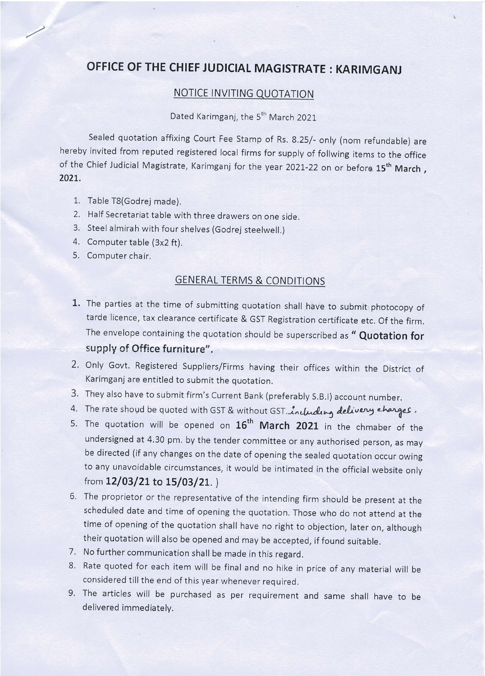# OFFICE OF THE CHIEF JUDICIAL MAGISTRATE : KARIMGANJ

#### **NOTICE INVITING QUOTATION**

## Dated Karimganj, the 5<sup>th</sup> March 2021

Sealed quotation affixing Court Fee Stamp of Rs. 8.25/- only (nom refundable) are hereby invited from reputed registered local firms for supply of follwing items to the office of the Chief Judicial Magistrate, Karimganj for the year 2021-22 on or before 15<sup>th</sup> March, 2021.

- 1. Table T8(Godrej made).
- 2. Half Secretariat table with three drawers on one side.
- 3. Steel almirah with four shelves (Godrej steelwell.)
- 4. Computer table (3x2 ft).
- 5. Computer chair.

#### GENERAL TERMS & CONDITIONS

- 1. The parties at the time of submitting quotation shall have to submit photocopy of tarde licence, tax clearance certificate & Gsr Registration certificate etc. of the firm. The envelope containing the quotation should be superscribed as " Quotation for supply of Office furniture".
- 2. Only Govt. Registered Suppliers/Firms having their offices within the District of Karimganj are entitled to submit the quotation.
- 3. They also have to submit firm's Current Bank (preferably S.B.I) account number.
- 4. The rate shoud be quoted with GST & without GST. including delivery charges.
- 5. The quotation will be opened on  $16<sup>th</sup>$  March 2021 in the chmaber of the undersigned at 4.30 pm. by the tender committee or any authorised person, as may be directed (if any changes on the date of opening the sealed quotation occur owing to any unavoidable circumstances, it would be intimated in the official website only from  $12/03/21$  to  $15/03/21$ .)
- 6. The proprietor or the representative of the intending firm should be present at the scheduled date and time of opening the quotation. Those who do not attend at the time of opening of the quotation shall have no right to objection, later on, although their quotation will also be opened and may be accepted, if found suitable.
- 7. No further communication shall be made in this regard,
- 8. Rate quoted for each item will be final and no hike in price of any material will be considered till the end of this year whenever required.
- 9. The articles will be purchased as per requirement and same shall have to be delivered immediately.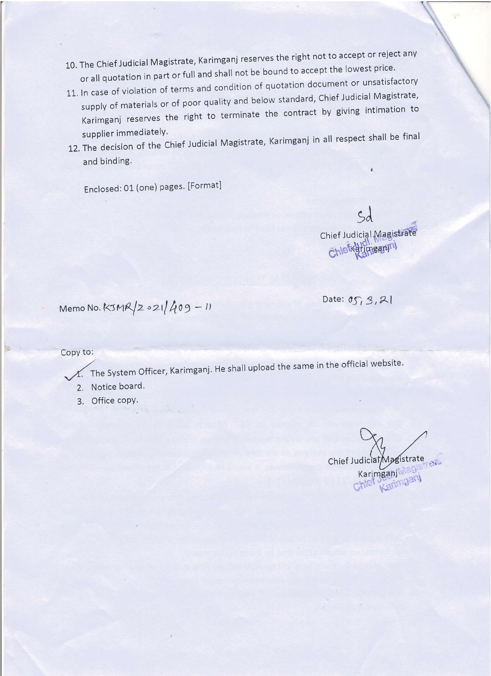- 10. The Chief Judicial Magistrate, Karimganj reserves the right not to accept or reject anv or all quotation in part or full and shall not be bound to accept the lowest price.
- 11. In case of violation of terms and condition of quotation document or unsatisfactory supply of materials or of poor quality and below standard, Chief Judicial Magistrate, Karimganj reserves the right to terminate the contract by giving intimation to supplier immediately.
- supplier immediately.<br>12. The decision of the Chief Judicial Magistrate, Karimganj in all respect shall be final and binding.

Enclosed: 01 (one) pages. [Format]

Chief Judicial Magistrate Chiefkatimeanni

Ł

Date:  $\sigma_{\text{S}}$ , 3, 21

 $Memo No. K3MR/2021/409 - 11$ 

Copy to:

 $\Lambda$ . The System Officer, Karimganj. He shall upload the same in the official website.

- 2. Notice board.
- 3. Office copy.

Chief Judicial Magistrate